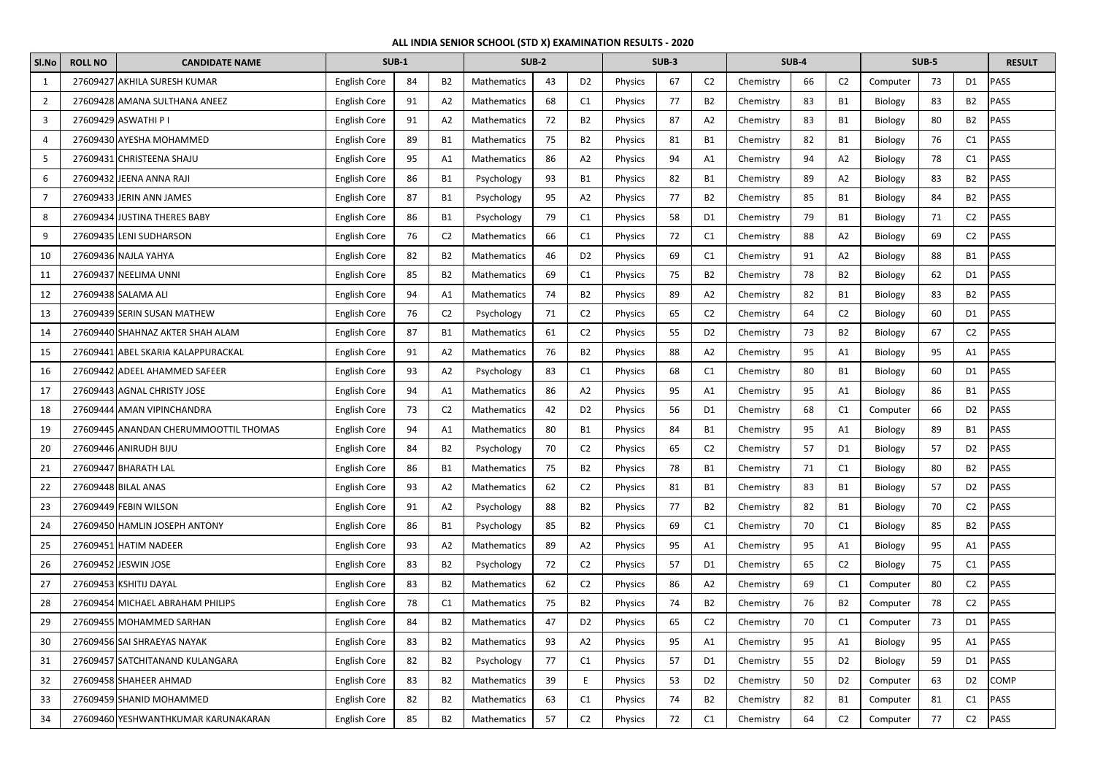| SI.No          | <b>ROLL NO</b> | <b>CANDIDATE NAME</b>                 | <b>SUB-1</b>        |    |                | <b>SUB-2</b>       |    |                | <b>SUB-3</b>   |    |                | <b>SUB-4</b> |    |                | SUB-5    |    |                | <b>RESULT</b> |
|----------------|----------------|---------------------------------------|---------------------|----|----------------|--------------------|----|----------------|----------------|----|----------------|--------------|----|----------------|----------|----|----------------|---------------|
| 1              |                | 27609427 AKHILA SURESH KUMAR          | <b>English Core</b> | 84 | <b>B2</b>      | Mathematics        | 43 | D <sub>2</sub> | Physics        | 67 | C <sub>2</sub> | Chemistry    | 66 | C <sub>2</sub> | Computer | 73 | D <sub>1</sub> | PASS          |
| $\overline{2}$ |                | 27609428 AMANA SULTHANA ANEEZ         | <b>English Core</b> | 91 | A <sub>2</sub> | <b>Mathematics</b> | 68 | C1             | <b>Physics</b> | 77 | <b>B2</b>      | Chemistry    | 83 | B1             | Biology  | 83 | B2             | PASS          |
| $\overline{3}$ |                | 27609429 ASWATHI P I                  | <b>English Core</b> | 91 | A <sub>2</sub> | Mathematics        | 72 | <b>B2</b>      | Physics        | 87 | A <sub>2</sub> | Chemistry    | 83 | <b>B1</b>      | Biology  | 80 | B <sub>2</sub> | PASS          |
| 4              |                | 27609430 AYESHA MOHAMMED              | <b>English Core</b> | 89 | <b>B1</b>      | Mathematics        | 75 | <b>B2</b>      | Physics        | 81 | <b>B1</b>      | Chemistry    | 82 | <b>B1</b>      | Biology  | 76 | C1             | PASS          |
| 5              |                | 27609431 CHRISTEENA SHAJU             | <b>English Core</b> | 95 | A1             | Mathematics        | 86 | A <sub>2</sub> | <b>Physics</b> | 94 | A1             | Chemistry    | 94 | A2             | Biology  | 78 | C1             | PASS          |
| 6              |                | 27609432 JEENA ANNA RAJI              | <b>English Core</b> | 86 | B1             | Psychology         | 93 | B1             | Physics        | 82 | <b>B1</b>      | Chemistry    | 89 | A2             | Biology  | 83 | <b>B2</b>      | PASS          |
| $\overline{7}$ |                | 27609433 JERIN ANN JAMES              | <b>English Core</b> | 87 | <b>B1</b>      | Psychology         | 95 | A2             | <b>Physics</b> | 77 | <b>B2</b>      | Chemistry    | 85 | <b>B1</b>      | Biology  | 84 | B <sub>2</sub> | PASS          |
| 8              |                | 27609434 JUSTINA THERES BABY          | <b>English Core</b> | 86 | <b>B1</b>      | Psychology         | 79 | C1             | Physics        | 58 | D1             | Chemistry    | 79 | <b>B1</b>      | Biology  | 71 | C <sub>2</sub> | PASS          |
| 9              |                | 27609435 LENI SUDHARSON               | <b>English Core</b> | 76 | C <sub>2</sub> | Mathematics        | 66 | C <sub>1</sub> | <b>Physics</b> | 72 | C <sub>1</sub> | Chemistry    | 88 | A2             | Biology  | 69 | C <sub>2</sub> | PASS          |
| 10             |                | 27609436 NAJLA YAHYA                  | <b>English Core</b> | 82 | B <sub>2</sub> | Mathematics        | 46 | D <sub>2</sub> | Physics        | 69 | C1             | Chemistry    | 91 | A2             | Biology  | 88 | <b>B1</b>      | PASS          |
| 11             |                | 27609437 NEELIMA UNNI                 | <b>English Core</b> | 85 | <b>B2</b>      | Mathematics        | 69 | C1             | <b>Physics</b> | 75 | <b>B2</b>      | Chemistry    | 78 | <b>B2</b>      | Biology  | 62 | D <sub>1</sub> | PASS          |
| 12             |                | 27609438 SALAMA ALI                   | <b>English Core</b> | 94 | A1             | Mathematics        | 74 | <b>B2</b>      | Physics        | 89 | A <sub>2</sub> | Chemistry    | 82 | <b>B1</b>      | Biology  | 83 | <b>B2</b>      | PASS          |
| 13             |                | 27609439 SERIN SUSAN MATHEW           | <b>English Core</b> | 76 | C <sub>2</sub> | Psychology         | 71 | C <sub>2</sub> | Physics        | 65 | C <sub>2</sub> | Chemistry    | 64 | C <sub>2</sub> | Biology  | 60 | D1             | PASS          |
| 14             |                | 27609440 SHAHNAZ AKTER SHAH ALAM      | <b>English Core</b> | 87 | <b>B1</b>      | Mathematics        | 61 | C <sub>2</sub> | Physics        | 55 | D <sub>2</sub> | Chemistry    | 73 | B <sub>2</sub> | Biology  | 67 | C2             | PASS          |
| 15             |                | 27609441 ABEL SKARIA KALAPPURACKAL    | <b>English Core</b> | 91 | A <sub>2</sub> | Mathematics        | 76 | B <sub>2</sub> | Physics        | 88 | A2             | Chemistry    | 95 | A1             | Biology  | 95 | A1             | PASS          |
| 16             |                | 27609442 ADEEL AHAMMED SAFEER         | <b>English Core</b> | 93 | A <sub>2</sub> | Psychology         | 83 | C1             | Physics        | 68 | C <sub>1</sub> | Chemistry    | 80 | <b>B1</b>      | Biology  | 60 | D1             | PASS          |
| 17             |                | 27609443 AGNAL CHRISTY JOSE           | <b>English Core</b> | 94 | A1             | Mathematics        | 86 | A <sub>2</sub> | Physics        | 95 | A1             | Chemistry    | 95 | A1             | Biology  | 86 | <b>B1</b>      | PASS          |
| 18             |                | 276094441AMAN VIPINCHANDRA            | <b>English Core</b> | 73 | C <sub>2</sub> | Mathematics        | 42 | D <sub>2</sub> | Physics        | 56 | D1             | Chemistry    | 68 | C1             | Computer | 66 | D <sub>2</sub> | PASS          |
| 19             |                | 27609445 ANANDAN CHERUMMOOTTIL THOMAS | <b>English Core</b> | 94 | A <sub>1</sub> | Mathematics        | 80 | <b>B1</b>      | Physics        | 84 | <b>B1</b>      | Chemistry    | 95 | A1             | Biology  | 89 | B1             | PASS          |
| 20             |                | 27609446 ANIRUDH BIJU                 | <b>English Core</b> | 84 | B <sub>2</sub> | Psychology         | 70 | C <sub>2</sub> | <b>Physics</b> | 65 | C <sub>2</sub> | Chemistry    | 57 | D1             | Biology  | 57 | D <sub>2</sub> | PASS          |
| 21             |                | 27609447 BHARATH LAL                  | English Core        | 86 | B1             | Mathematics        | 75 | <b>B2</b>      | Physics        | 78 | <b>B1</b>      | Chemistry    | 71 | C1             | Biology  | 80 | B2             | PASS          |
| 22             |                | 27609448 BILAL ANAS                   | <b>English Core</b> | 93 | A <sub>2</sub> | Mathematics        | 62 | C <sub>2</sub> | Physics        | 81 | <b>B1</b>      | Chemistry    | 83 | <b>B1</b>      | Biology  | 57 | D <sub>2</sub> | PASS          |
| 23             |                | 27609449 FEBIN WILSON                 | <b>English Core</b> | 91 | A2             | Psychology         | 88 | <b>B2</b>      | Physics        | 77 | B <sub>2</sub> | Chemistry    | 82 | <b>B1</b>      | Biology  | 70 | C <sub>2</sub> | <b>PASS</b>   |
| 24             |                | 27609450 HAMLIN JOSEPH ANTONY         | English Core        | 86 | <b>B1</b>      | Psychology         | 85 | <b>B2</b>      | Physics        | 69 | C <sub>1</sub> | Chemistry    | 70 | C1             | Biology  | 85 | <b>B2</b>      | PASS          |
| 25             |                | 27609451 HATIM NADEER                 | <b>English Core</b> | 93 | A2             | Mathematics        | 89 | A2             | Physics        | 95 | A1             | Chemistry    | 95 | A1             | Biology  | 95 | A1             | <b>PASS</b>   |
| 26             |                | 27609452 JESWIN JOSE                  | English Core        | 83 | <b>B2</b>      | Psychology         | 72 | C <sub>2</sub> | Physics        | 57 | D1             | Chemistry    | 65 | C <sub>2</sub> | Biology  | 75 | C1             | PASS          |
| 27             |                | 27609453 KSHITIJ DAYAL                | <b>English Core</b> | 83 | <b>B2</b>      | Mathematics        | 62 | C <sub>2</sub> | Physics        | 86 | A <sub>2</sub> | Chemistry    | 69 | C1             | Computer | 80 | C <sub>2</sub> | <b>PASS</b>   |
| 28             |                | 27609454 MICHAEL ABRAHAM PHILIPS      | English Core        | 78 | C1             | Mathematics        | 75 | <b>B2</b>      | Physics        | 74 | <b>B2</b>      | Chemistry    | 76 | <b>B2</b>      | Computer | 78 | C2             | PASS          |
| 29             |                | 27609455 MOHAMMED SARHAN              | English Core        | 84 | B <sub>2</sub> | Mathematics        | 47 | D <sub>2</sub> | Physics        | 65 | C <sub>2</sub> | Chemistry    | 70 | C1             | Computer | 73 | D1             | PASS          |
| 30             |                | 27609456 SAI SHRAEYAS NAYAK           | English Core        | 83 | <b>B2</b>      | Mathematics        | 93 | A2             | Physics        | 95 | A1             | Chemistry    | 95 | A1             | Biology  | 95 | A1             | PASS          |
| 31             |                | 27609457 SATCHITANAND KULANGARA       | <b>English Core</b> | 82 | <b>B2</b>      | Psychology         | 77 | C1             | Physics        | 57 | D1             | Chemistry    | 55 | D <sub>2</sub> | Biology  | 59 | D1             | <b>PASS</b>   |
| 32             |                | 27609458 SHAHEER AHMAD                | English Core        | 83 | B <sub>2</sub> | Mathematics        | 39 |                | Physics        | 53 | D <sub>2</sub> | Chemistry    | 50 | D <sub>2</sub> | Computer | 63 | D <sub>2</sub> | <b>COMP</b>   |
| 33             |                | 27609459 SHANID MOHAMMED              | English Core        | 82 | B <sub>2</sub> | Mathematics        | 63 | C1             | Physics        | 74 | B <sub>2</sub> | Chemistry    | 82 | <b>B1</b>      | Computer | 81 | C <sub>1</sub> | <b>PASS</b>   |
| 34             |                | 27609460 YESHWANTHKUMAR KARUNAKARAN   | English Core        | 85 | B <sub>2</sub> | Mathematics        | 57 | C <sub>2</sub> | Physics        | 72 | C1             | Chemistry    | 64 | C <sub>2</sub> | Computer | 77 | C2             | <b>PASS</b>   |

## **ALL INDIA SENIOR SCHOOL (STD X) EXAMINATION RESULTS - 2020**